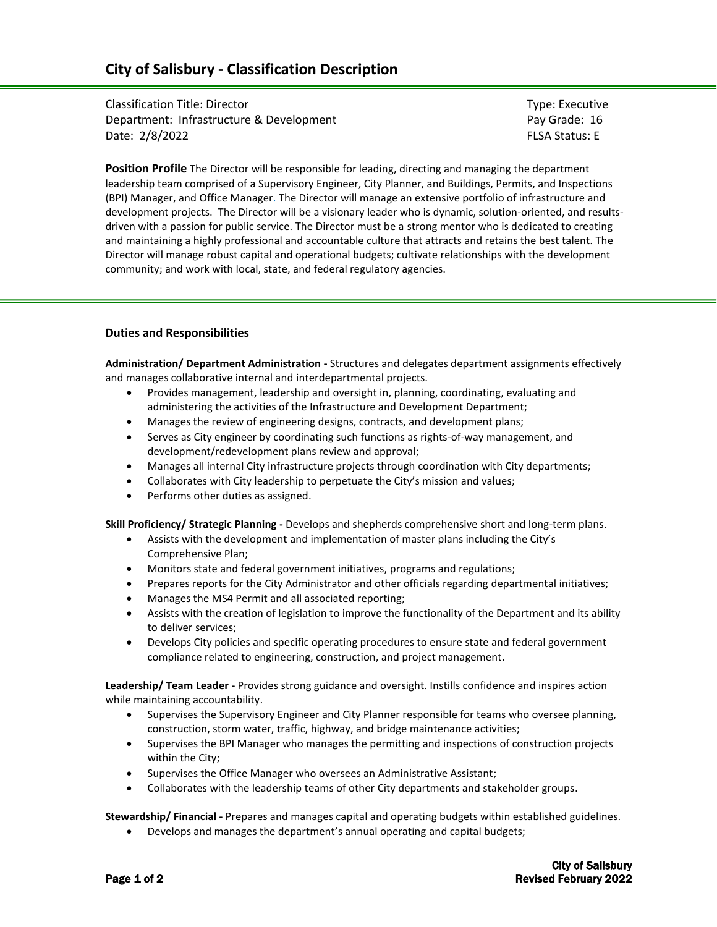# **City of Salisbury - Classification Description**

Classification Title: Director The Type: Executive Type: Executive Type: Executive Department: Infrastructure & Development **Pay Grade: 16** Pay Grade: 16 Date: 2/8/2022 FLSA Status: E

**Position Profile** The Director will be responsible for leading, directing and managing the department leadership team comprised of a Supervisory Engineer, City Planner, and Buildings, Permits, and Inspections (BPI) Manager, and Office Manager. The Director will manage an extensive portfolio of infrastructure and development projects. The Director will be a visionary leader who is dynamic, solution-oriented, and resultsdriven with a passion for public service. The Director must be a strong mentor who is dedicated to creating and maintaining a highly professional and accountable culture that attracts and retains the best talent. The Director will manage robust capital and operational budgets; cultivate relationships with the development community; and work with local, state, and federal regulatory agencies.

#### **Duties and Responsibilities**

**Administration/ Department Administration -** Structures and delegates department assignments effectively and manages collaborative internal and interdepartmental projects.

- Provides management, leadership and oversight in, planning, coordinating, evaluating and administering the activities of the Infrastructure and Development Department;
- Manages the review of engineering designs, contracts, and development plans;
- Serves as City engineer by coordinating such functions as rights-of-way management, and development/redevelopment plans review and approval;
- Manages all internal City infrastructure projects through coordination with City departments;
- Collaborates with City leadership to perpetuate the City's mission and values;
- Performs other duties as assigned.

**Skill Proficiency/ Strategic Planning -** Develops and shepherds comprehensive short and long-term plans.

- Assists with the development and implementation of master plans including the City's Comprehensive Plan;
- Monitors state and federal government initiatives, programs and regulations;
- Prepares reports for the City Administrator and other officials regarding departmental initiatives;
- Manages the MS4 Permit and all associated reporting;
- Assists with the creation of legislation to improve the functionality of the Department and its ability to deliver services;
- Develops City policies and specific operating procedures to ensure state and federal government compliance related to engineering, construction, and project management.

**Leadership/ Team Leader -** Provides strong guidance and oversight. Instills confidence and inspires action while maintaining accountability.

- Supervises the Supervisory Engineer and City Planner responsible for teams who oversee planning, construction, storm water, traffic, highway, and bridge maintenance activities;
- Supervises the BPI Manager who manages the permitting and inspections of construction projects within the City;
- Supervises the Office Manager who oversees an Administrative Assistant;
- Collaborates with the leadership teams of other City departments and stakeholder groups.

**Stewardship/ Financial -** Prepares and manages capital and operating budgets within established guidelines.

• Develops and manages the department's annual operating and capital budgets;